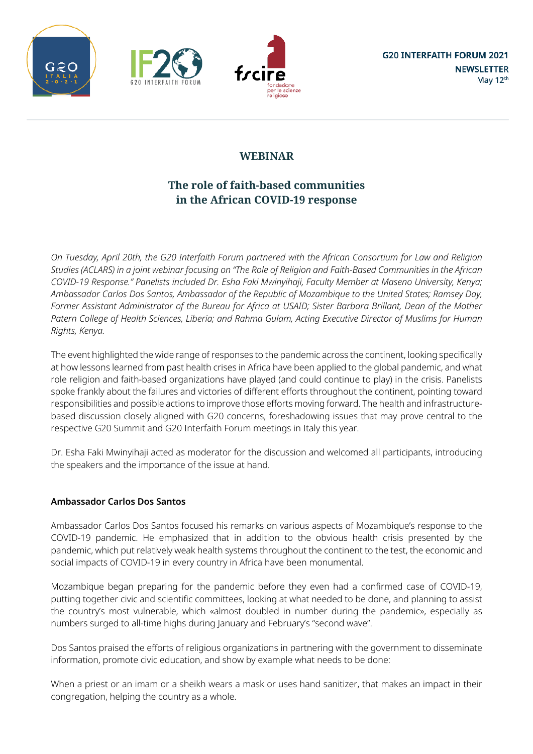





# **The role of faith-based communities in the African COVID-19 response**

On Tuesday, April 20th, the G20 Interfaith Forum partnered with the African Consortium for Law and Religion Studies (ACLARS) in a joint webinar focusing on "The Role of Religion and Faith-Based Communities in the African *COVID-19 Response." Panelists included Dr. Esha Faki Mwinyihaji, Faculty Member at Maseno University, Kenya; Ambassador Carlos Dos Santos, Ambassador of the Republic of Mozambique to the United States; Ramsey Day,* Former Assistant Administrator of the Bureau for Africa at USAID; Sister Barbara Brillant, Dean of the Mother *Patern College of Health Sciences, Liberia; and Rahma Gulam, Acting Executive Director of Muslims for Human Rights, Kenya.*

The event highlighted the wide range of responses to the pandemic across the continent, looking specifically at how lessons learned from past health crises in Africa have been applied to the global pandemic, and what role religion and faith-based organizations have played (and could continue to play) in the crisis. Panelists spoke frankly about the failures and victories of different efforts throughout the continent, pointing toward responsibilities and possible actions to improve those efforts moving forward. The health and infrastructurebased discussion closely aligned with G20 concerns, foreshadowing issues that may prove central to the respective G20 Summit and G20 Interfaith Forum meetings in Italy this year.

Dr. Esha Faki Mwinyihaji acted as moderator for the discussion and welcomed all participants, introducing the speakers and the importance of the issue at hand.

# **Ambassador Carlos Dos Santos**

Ambassador Carlos Dos Santos focused his remarks on various aspects of Mozambique's response to the COVID-19 pandemic. He emphasized that in addition to the obvious health crisis presented by the pandemic, which put relatively weak health systems throughout the continent to the test, the economic and social impacts of COVID-19 in every country in Africa have been monumental.

Mozambique began preparing for the pandemic before they even had a confirmed case of COVID-19, putting together civic and scientific committees, looking at what needed to be done, and planning to assist the country's most vulnerable, which «almost doubled in number during the pandemic», especially as numbers surged to all-time highs during January and February's "second wave".

Dos Santos praised the efforts of religious organizations in partnering with the government to disseminate information, promote civic education, and show by example what needs to be done:

When a priest or an imam or a sheikh wears a mask or uses hand sanitizer, that makes an impact in their congregation, helping the country as a whole.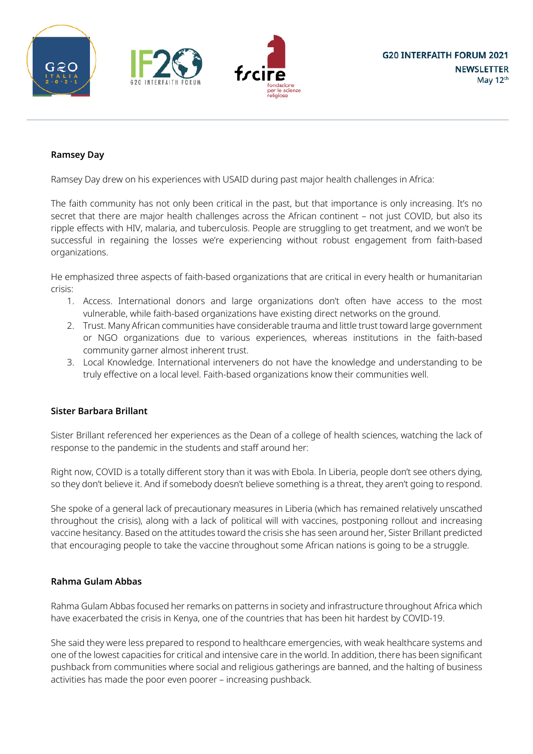





### **Ramsey Day**

Ramsey Day drew on his experiences with USAID during past major health challenges in Africa:

The faith community has not only been critical in the past, but that importance is only increasing. It's no secret that there are major health challenges across the African continent – not just COVID, but also its ripple effects with HIV, malaria, and tuberculosis. People are struggling to get treatment, and we won't be successful in regaining the losses we're experiencing without robust engagement from faith-based organizations.

He emphasized three aspects of faith-based organizations that are critical in every health or humanitarian crisis:

- 1. Access. International donors and large organizations don't often have access to the most vulnerable, while faith-based organizations have existing direct networks on the ground.
- 2. Trust. Many African communities have considerable trauma and little trust toward large government or NGO organizations due to various experiences, whereas institutions in the faith-based community garner almost inherent trust.
- 3. Local Knowledge. International interveners do not have the knowledge and understanding to be truly effective on a local level. Faith-based organizations know their communities well.

### **Sister Barbara Brillant**

Sister Brillant referenced her experiences as the Dean of a college of health sciences, watching the lack of response to the pandemic in the students and staff around her:

Right now, COVID is a totally different story than it was with Ebola. In Liberia, people don't see others dying, so they don't believe it. And if somebody doesn't believe something is a threat, they aren't going to respond.

She spoke of a general lack of precautionary measures in Liberia (which has remained relatively unscathed throughout the crisis), along with a lack of political will with vaccines, postponing rollout and increasing vaccine hesitancy. Based on the attitudes toward the crisis she has seen around her, Sister Brillant predicted that encouraging people to take the vaccine throughout some African nations is going to be a struggle.

### **Rahma Gulam Abbas**

Rahma Gulam Abbas focused her remarks on patterns in society and infrastructure throughout Africa which have exacerbated the crisis in Kenya, one of the countries that has been hit hardest by COVID-19.

She said they were less prepared to respond to healthcare emergencies, with weak healthcare systems and one of the lowest capacities for critical and intensive care in the world. In addition, there has been significant pushback from communities where social and religious gatherings are banned, and the halting of business activities has made the poor even poorer – increasing pushback.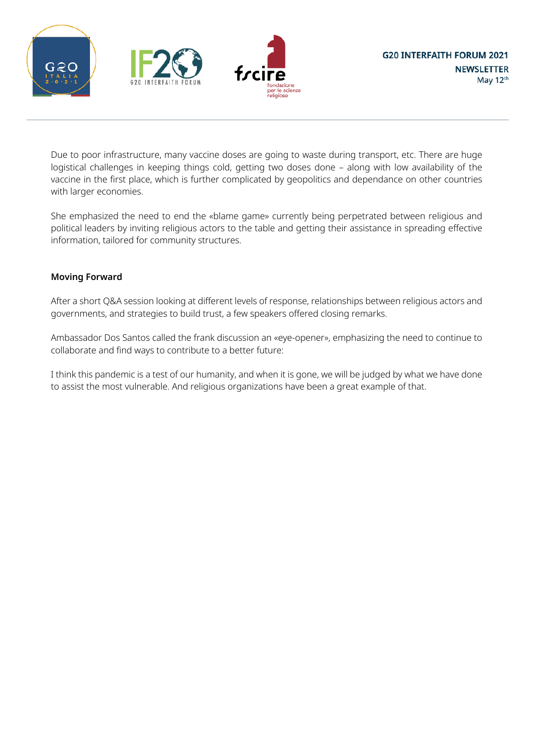





Due to poor infrastructure, many vaccine doses are going to waste during transport, etc. There are huge logistical challenges in keeping things cold, getting two doses done – along with low availability of the vaccine in the first place, which is further complicated by geopolitics and dependance on other countries with larger economies.

She emphasized the need to end the «blame game» currently being perpetrated between religious and political leaders by inviting religious actors to the table and getting their assistance in spreading effective information, tailored for community structures.

### **Moving Forward**

After a short Q&A session looking at different levels of response, relationships between religious actors and governments, and strategies to build trust, a few speakers offered closing remarks.

Ambassador Dos Santos called the frank discussion an «eye-opener», emphasizing the need to continue to collaborate and find ways to contribute to a better future:

I think this pandemic is a test of our humanity, and when it is gone, we will be judged by what we have done to assist the most vulnerable. And religious organizations have been a great example of that.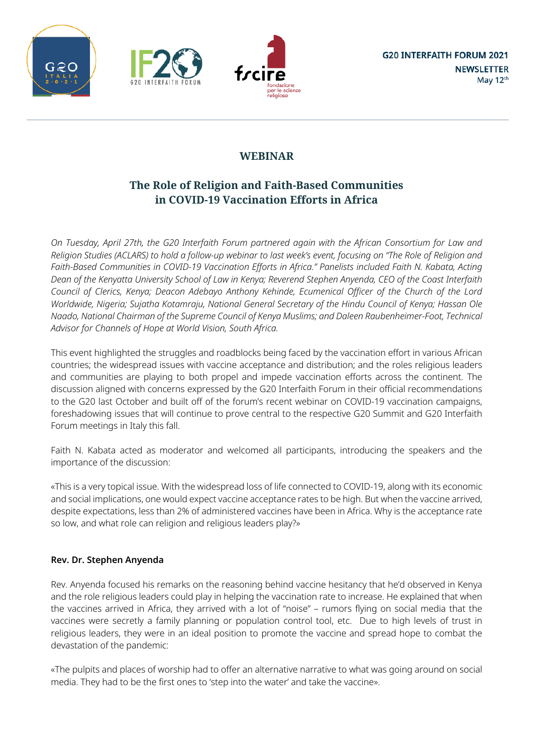





# **The Role of Religion and Faith-Based Communities in COVID-19 Vaccination Efforts in Africa**

*On Tuesday, April 27th, the G20 Interfaith Forum partnered again with the African Consortium for Law and* Religion Studies (ACLARS) to hold a follow-up webinar to last week's event, focusing on "The Role of Religion and *Faith-Based Communities in COVID-19 Vaccination Efforts in Africa." Panelists included Faith N. Kabata, Acting* Dean of the Kenyatta University School of Law in Kenya; Reverend Stephen Anyenda, CEO of the Coast Interfaith *Council of Clerics, Kenya; Deacon Adebayo Anthony Kehinde, Ecumenical Officer of the Church of the Lord Worldwide, Nigeria; Sujatha Kotamraju, National General Secretary of the Hindu Council of Kenya; Hassan Ole Naado, National Chairman of the Supreme Council of Kenya Muslims; and Daleen Raubenheimer-Foot, Technical Advisor for Channels of Hope at World Vision, South Africa.*

This event highlighted the struggles and roadblocks being faced by the vaccination effort in various African countries; the widespread issues with vaccine acceptance and distribution; and the roles religious leaders and communities are playing to both propel and impede vaccination efforts across the continent. The discussion aligned with concerns expressed by the G20 Interfaith Forum in their official recommendations to the G20 last October and built off of the forum's recent webinar on COVID-19 vaccination campaigns, foreshadowing issues that will continue to prove central to the respective G20 Summit and G20 Interfaith Forum meetings in Italy this fall.

Faith N. Kabata acted as moderator and welcomed all participants, introducing the speakers and the importance of the discussion:

«This is a very topical issue. With the widespread loss of life connected to COVID-19, along with its economic and social implications, one would expect vaccine acceptance rates to be high. But when the vaccine arrived, despite expectations, less than 2% of administered vaccines have been in Africa. Why is the acceptance rate so low, and what role can religion and religious leaders play?»

# **Rev. Dr. Stephen Anyenda**

Rev. Anyenda focused his remarks on the reasoning behind vaccine hesitancy that he'd observed in Kenya and the role religious leaders could play in helping the vaccination rate to increase. He explained that when the vaccines arrived in Africa, they arrived with a lot of "noise" – rumors flying on social media that the vaccines were secretly a family planning or population control tool, etc. Due to high levels of trust in religious leaders, they were in an ideal position to promote the vaccine and spread hope to combat the devastation of the pandemic:

«The pulpits and places of worship had to offer an alternative narrative to what was going around on social media. They had to be the first ones to 'step into the water' and take the vaccine».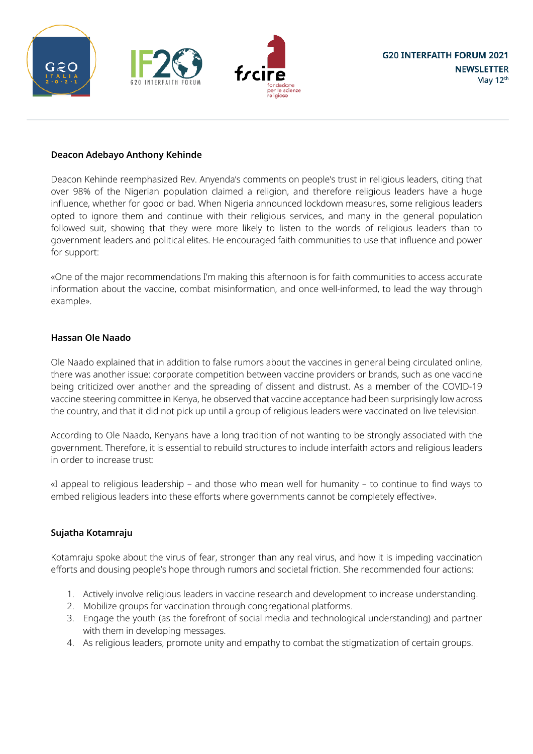





### **Deacon Adebayo Anthony Kehinde**

Deacon Kehinde reemphasized Rev. Anyenda's comments on people's trust in religious leaders, citing that over 98% of the Nigerian population claimed a religion, and therefore religious leaders have a huge influence, whether for good or bad. When Nigeria announced lockdown measures, some religious leaders opted to ignore them and continue with their religious services, and many in the general population followed suit, showing that they were more likely to listen to the words of religious leaders than to government leaders and political elites. He encouraged faith communities to use that influence and power for support:

«One of the major recommendations I'm making this afternoon is for faith communities to access accurate information about the vaccine, combat misinformation, and once well-informed, to lead the way through example».

### **Hassan Ole Naado**

Ole Naado explained that in addition to false rumors about the vaccines in general being circulated online, there was another issue: corporate competition between vaccine providers or brands, such as one vaccine being criticized over another and the spreading of dissent and distrust. As a member of the COVID-19 vaccine steering committee in Kenya, he observed that vaccine acceptance had been surprisingly low across the country, and that it did not pick up until a group of religious leaders were vaccinated on live television.

According to Ole Naado, Kenyans have a long tradition of not wanting to be strongly associated with the government. Therefore, it is essential to rebuild structures to include interfaith actors and religious leaders in order to increase trust:

«I appeal to religious leadership – and those who mean well for humanity – to continue to find ways to embed religious leaders into these efforts where governments cannot be completely effective».

## **Sujatha Kotamraju**

Kotamraju spoke about the virus of fear, stronger than any real virus, and how it is impeding vaccination efforts and dousing people's hope through rumors and societal friction. She recommended four actions:

- 1. Actively involve religious leaders in vaccine research and development to increase understanding.
- 2. Mobilize groups for vaccination through congregational platforms.
- 3. Engage the youth (as the forefront of social media and technological understanding) and partner with them in developing messages.
- 4. As religious leaders, promote unity and empathy to combat the stigmatization of certain groups.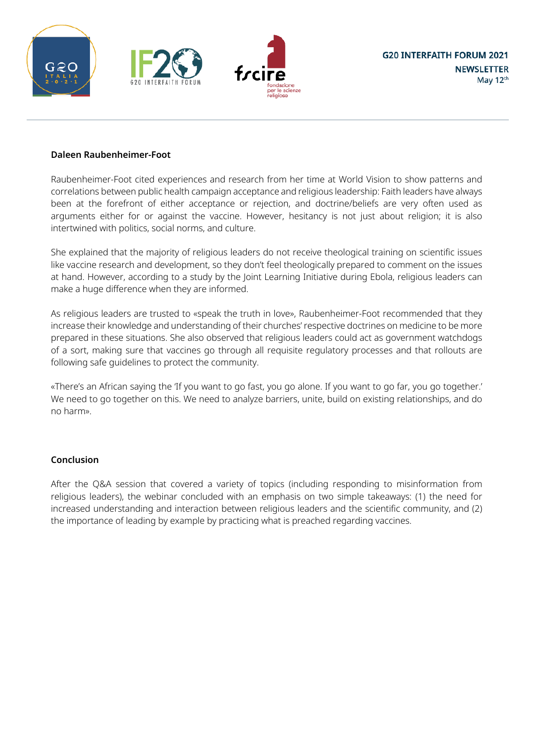





### **Daleen Raubenheimer-Foot**

Raubenheimer-Foot cited experiences and research from her time at World Vision to show patterns and correlations between public health campaign acceptance and religious leadership: Faith leaders have always been at the forefront of either acceptance or rejection, and doctrine/beliefs are very often used as arguments either for or against the vaccine. However, hesitancy is not just about religion; it is also intertwined with politics, social norms, and culture.

She explained that the majority of religious leaders do not receive theological training on scientific issues like vaccine research and development, so they don't feel theologically prepared to comment on the issues at hand. However, according to a study by the Joint Learning Initiative during Ebola, religious leaders can make a huge difference when they are informed.

As religious leaders are trusted to «speak the truth in love», Raubenheimer-Foot recommended that they increase their knowledge and understanding of their churches' respective doctrines on medicine to be more prepared in these situations. She also observed that religious leaders could act as government watchdogs of a sort, making sure that vaccines go through all requisite regulatory processes and that rollouts are following safe guidelines to protect the community.

«There's an African saying the 'If you want to go fast, you go alone. If you want to go far, you go together.' We need to go together on this. We need to analyze barriers, unite, build on existing relationships, and do no harm».

### **Conclusion**

After the Q&A session that covered a variety of topics (including responding to misinformation from religious leaders), the webinar concluded with an emphasis on two simple takeaways: (1) the need for increased understanding and interaction between religious leaders and the scientific community, and (2) the importance of leading by example by practicing what is preached regarding vaccines.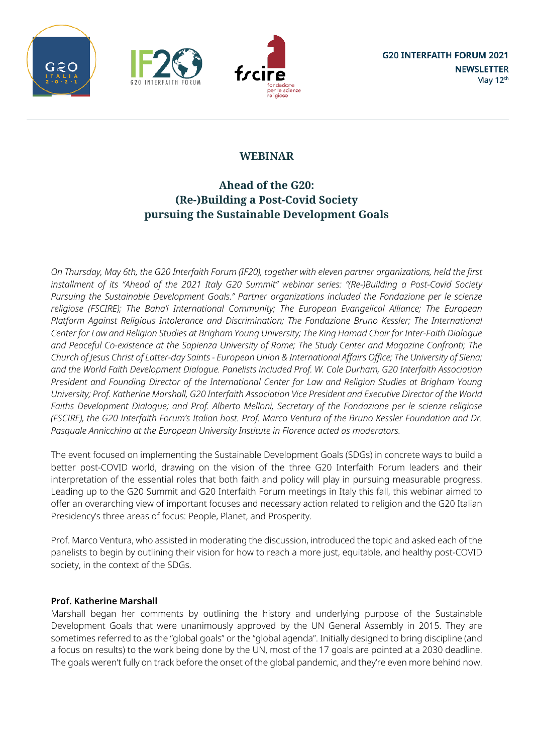





# **Ahead of the G20: (Re-)Building a Post-Covid Society pursuing the Sustainable Development Goals**

On Thursday, May 6th, the G20 Interfaith Forum (IF20), together with eleven partner organizations, held the first *installment of its "Ahead of the 2021 Italy G20 Summit" webinar series: "(Re-)Building a Post-Covid Society Pursuing the Sustainable Development Goals." Partner organizations included the Fondazione per le scienze religiose (FSCIRE); The Baha'i International Community; The European Evangelical Alliance; The European Platform Against Religious Intolerance and Discrimination; The Fondazione Bruno Kessler; The International* Center for Law and Religion Studies at Brigham Young University; The King Hamad Chair for Inter-Faith Dialogue *and Peaceful Co-existence at the Sapienza University of Rome; The Study Center and Magazine Confronti; The* Church of Jesus Christ of Latter-day Saints - European Union & International Affairs Office; The University of Siena; *and the World Faith Development Dialogue. Panelists included Prof. W. Cole Durham, G20 Interfaith Association President and Founding Director of the International Center for Law and Religion Studies at Brigham Young University; Prof. Katherine Marshall, G20 Interfaith Association Vice President and Executive Director of the World Faiths Development Dialogue; and Prof. Alberto Melloni, Secretary of the Fondazione per le scienze religiose* (FSCIRE), the G20 Interfaith Forum's Italian host. Prof. Marco Ventura of the Bruno Kessler Foundation and Dr. *Pasquale Annicchino at the European University Institute in Florence acted as moderators.*

The event focused on implementing the Sustainable Development Goals (SDGs) in concrete ways to build a better post-COVID world, drawing on the vision of the three G20 Interfaith Forum leaders and their interpretation of the essential roles that both faith and policy will play in pursuing measurable progress. Leading up to the G20 Summit and G20 Interfaith Forum meetings in Italy this fall, this webinar aimed to offer an overarching view of important focuses and necessary action related to religion and the G20 Italian Presidency's three areas of focus: People, Planet, and Prosperity.

Prof. Marco Ventura, who assisted in moderating the discussion, introduced the topic and asked each of the panelists to begin by outlining their vision for how to reach a more just, equitable, and healthy post-COVID society, in the context of the SDGs.

# **Prof. Katherine Marshall**

Marshall began her comments by outlining the history and underlying purpose of the Sustainable Development Goals that were unanimously approved by the UN General Assembly in 2015. They are sometimes referred to as the "global goals" or the "global agenda". Initially designed to bring discipline (and a focus on results) to the work being done by the UN, most of the 17 goals are pointed at a 2030 deadline. The goals weren't fully on track before the onset of the global pandemic, and they're even more behind now.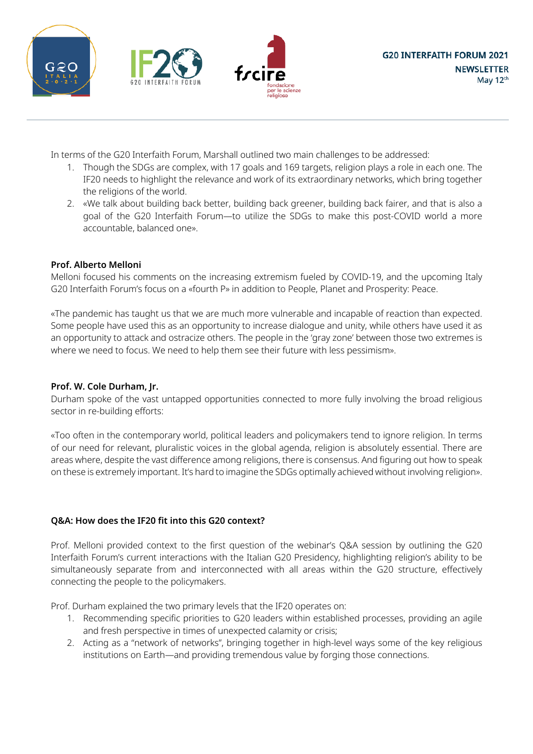





In terms of the G20 Interfaith Forum, Marshall outlined two main challenges to be addressed:

- 1. Though the SDGs are complex, with 17 goals and 169 targets, religion plays a role in each one. The IF20 needs to highlight the relevance and work of its extraordinary networks, which bring together the religions of the world.
- 2. «We talk about building back better, building back greener, building back fairer, and that is also a goal of the G20 Interfaith Forum—to utilize the SDGs to make this post-COVID world a more accountable, balanced one».

## **Prof. Alberto Melloni**

Melloni focused his comments on the increasing extremism fueled by COVID-19, and the upcoming Italy G20 Interfaith Forum's focus on a «fourth P» in addition to People, Planet and Prosperity: Peace.

«The pandemic has taught us that we are much more vulnerable and incapable of reaction than expected. Some people have used this as an opportunity to increase dialogue and unity, while others have used it as an opportunity to attack and ostracize others. The people in the 'gray zone' between those two extremes is where we need to focus. We need to help them see their future with less pessimism».

## **Prof. W. Cole Durham, Jr.**

Durham spoke of the vast untapped opportunities connected to more fully involving the broad religious sector in re-building efforts:

«Too often in the contemporary world, political leaders and policymakers tend to ignore religion. In terms of our need for relevant, pluralistic voices in the global agenda, religion is absolutely essential. There are areas where, despite the vast difference among religions, there is consensus. And figuring out how to speak on these is extremely important. It's hard to imagine the SDGs optimally achieved without involving religion».

## **Q&A: How does the IF20 fit into this G20 context?**

Prof. Melloni provided context to the first question of the webinar's Q&A session by outlining the G20 Interfaith Forum's current interactions with the Italian G20 Presidency, highlighting religion's ability to be simultaneously separate from and interconnected with all areas within the G20 structure, effectively connecting the people to the policymakers.

Prof. Durham explained the two primary levels that the IF20 operates on:

- 1. Recommending specific priorities to G20 leaders within established processes, providing an agile and fresh perspective in times of unexpected calamity or crisis;
- 2. Acting as a "network of networks", bringing together in high-level ways some of the key religious institutions on Earth—and providing tremendous value by forging those connections.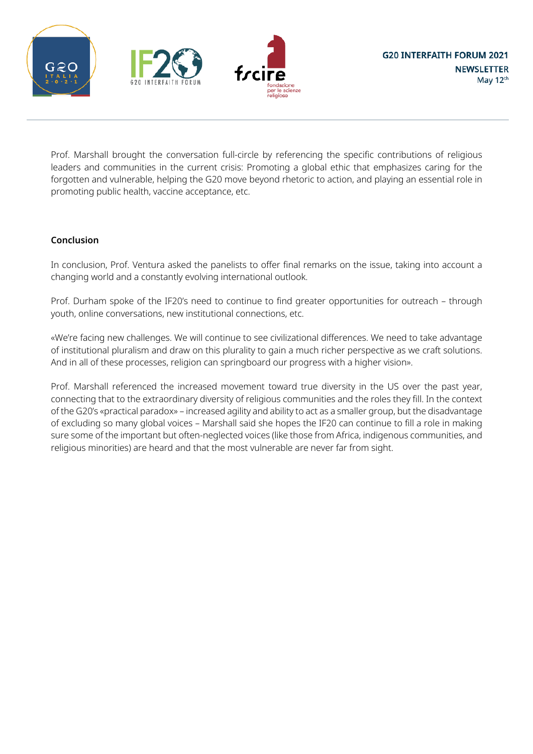





Prof. Marshall brought the conversation full-circle by referencing the specific contributions of religious leaders and communities in the current crisis: Promoting a global ethic that emphasizes caring for the forgotten and vulnerable, helping the G20 move beyond rhetoric to action, and playing an essential role in promoting public health, vaccine acceptance, etc.

### **Conclusion**

In conclusion, Prof. Ventura asked the panelists to offer final remarks on the issue, taking into account a changing world and a constantly evolving international outlook.

Prof. Durham spoke of the IF20's need to continue to find greater opportunities for outreach – through youth, online conversations, new institutional connections, etc.

«We're facing new challenges. We will continue to see civilizational differences. We need to take advantage of institutional pluralism and draw on this plurality to gain a much richer perspective as we craft solutions. And in all of these processes, religion can springboard our progress with a higher vision».

Prof. Marshall referenced the increased movement toward true diversity in the US over the past year, connecting that to the extraordinary diversity of religious communities and the roles they fill. In the context of the G20's «practical paradox» – increased agility and ability to act as a smaller group, but the disadvantage of excluding so many global voices – Marshall said she hopes the IF20 can continue to fill a role in making sure some of the important but often-neglected voices (like those from Africa, indigenous communities, and religious minorities) are heard and that the most vulnerable are never far from sight.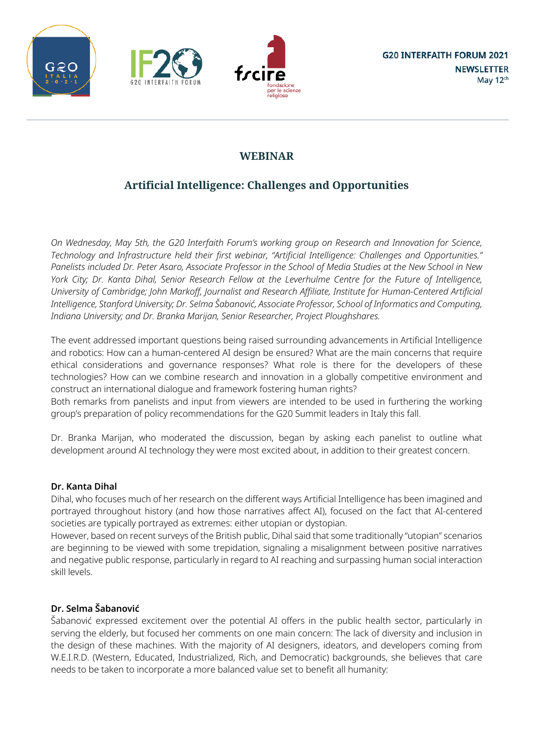





# **Artificial Intelligence: Challenges and Opportunities**

*On Wednesday, May 5th, the G20 Interfaith Forum's working group on Research and Innovation for Science, Technology and Infrastructure held their first webinar, "Artificial Intelligence: Challenges and Opportunities."* Panelists included Dr. Peter Asaro, Associate Professor in the School of Media Studies at the New School in New York City; Dr. Kanta Dihal, Senior Research Fellow at the Leverhulme Centre for the Future of Intelligence, *University of Cambridge; John Markoff, Journalist and Research Affiliate, Institute for Human-Centered Artificial* Intelligence, Stanford University; Dr. Selma Šabanović, Associate Professor, School of Informatics and Computing, *Indiana University; and Dr. Branka Marijan, Senior Researcher, Project Ploughshares.*

The event addressed important questions being raised surrounding advancements in Artificial Intelligence and robotics: How can a human-centered AI design be ensured? What are the main concerns that require ethical considerations and governance responses? What role is there for the developers of these technologies? How can we combine research and innovation in a globally competitive environment and construct an international dialogue and framework fostering human rights?

Both remarks from panelists and input from viewers are intended to be used in furthering the working group's preparation of policy recommendations for the G20 Summit leaders in Italy this fall.

Dr. Branka Marijan, who moderated the discussion, began by asking each panelist to outline what development around AI technology they were most excited about, in addition to their greatest concern.

# **Dr. Kanta Dihal**

Dihal, who focuses much of her research on the different ways Artificial Intelligence has been imagined and portrayed throughout history (and how those narratives affect AI), focused on the fact that AI-centered societies are typically portrayed as extremes: either utopian or dystopian.

However, based on recent surveys of the British public, Dihal said that some traditionally "utopian" scenarios are beginning to be viewed with some trepidation, signaling a misalignment between positive narratives and negative public response, particularly in regard to AI reaching and surpassing human social interaction skill levels.

# **Dr. Selma Šabanović**

Šabanović expressed excitement over the potential AI offers in the public health sector, particularly in serving the elderly, but focused her comments on one main concern: The lack of diversity and inclusion in the design of these machines. With the majority of AI designers, ideators, and developers coming from W.E.I.R.D. (Western, Educated, Industrialized, Rich, and Democratic) backgrounds, she believes that care needs to be taken to incorporate a more balanced value set to benefit all humanity: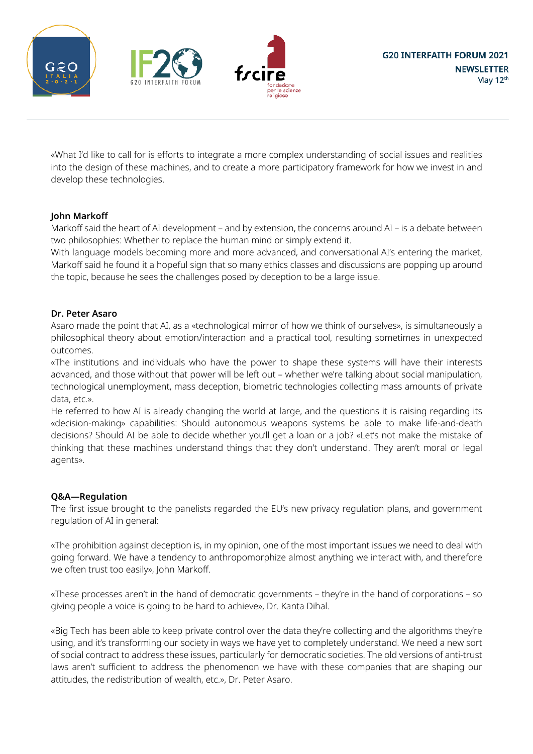





«What I'd like to call for is efforts to integrate a more complex understanding of social issues and realities into the design of these machines, and to create a more participatory framework for how we invest in and develop these technologies.

### **John Markoff**

Markoff said the heart of AI development – and by extension, the concerns around AI – is a debate between two philosophies: Whether to replace the human mind or simply extend it.

With language models becoming more and more advanced, and conversational AI's entering the market, Markoff said he found it a hopeful sign that so many ethics classes and discussions are popping up around the topic, because he sees the challenges posed by deception to be a large issue.

### **Dr. Peter Asaro**

Asaro made the point that AI, as a «technological mirror of how we think of ourselves», is simultaneously a philosophical theory about emotion/interaction and a practical tool, resulting sometimes in unexpected outcomes.

«The institutions and individuals who have the power to shape these systems will have their interests advanced, and those without that power will be left out – whether we're talking about social manipulation, technological unemployment, mass deception, biometric technologies collecting mass amounts of private data, etc.».

He referred to how AI is already changing the world at large, and the questions it is raising regarding its «decision-making» capabilities: Should autonomous weapons systems be able to make life-and-death decisions? Should AI be able to decide whether you'll get a loan or a job? «Let's not make the mistake of thinking that these machines understand things that they don't understand. They aren't moral or legal agents».

### **Q&A—Regulation**

The first issue brought to the panelists regarded the EU's new privacy regulation plans, and government regulation of AI in general:

«The prohibition against deception is, in my opinion, one of the most important issues we need to deal with going forward. We have a tendency to anthropomorphize almost anything we interact with, and therefore we often trust too easily», John Markoff.

«These processes aren't in the hand of democratic governments – they're in the hand of corporations – so giving people a voice is going to be hard to achieve», Dr. Kanta Dihal.

«Big Tech has been able to keep private control over the data they're collecting and the algorithms they're using, and it's transforming our society in ways we have yet to completely understand. We need a new sort of social contract to address these issues, particularly for democratic societies. The old versions of anti-trust laws aren't sufficient to address the phenomenon we have with these companies that are shaping our attitudes, the redistribution of wealth, etc.», Dr. Peter Asaro.